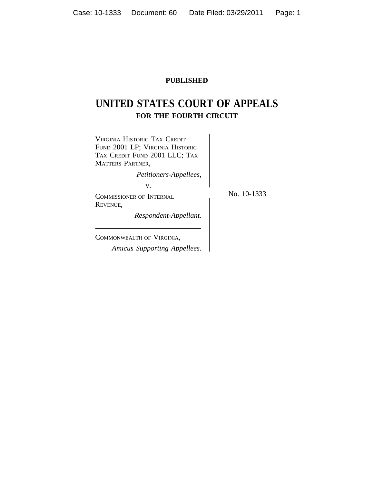## **PUBLISHED**

# **UNITED STATES COURT OF APPEALS FOR THE FOURTH CIRCUIT**



*Amicus Supporting Appellees.*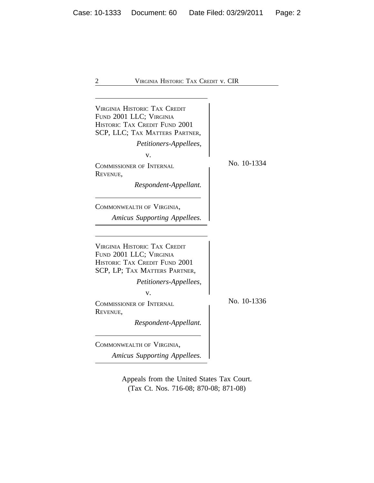| <b>VIRGINIA HISTORIC TAX CREDIT</b><br>FUND 2001 LLC; VIRGINIA<br><b>HISTORIC TAX CREDIT FUND 2001</b><br>SCP, LLC; TAX MATTERS PARTNER,<br>Petitioners-Appellees,<br>v.<br>COMMISSIONER OF INTERNAL<br>REVENUE,<br>Respondent-Appellant.<br>COMMONWEALTH OF VIRGINIA,<br>Amicus Supporting Appellees.       | No. 10-1334 |
|--------------------------------------------------------------------------------------------------------------------------------------------------------------------------------------------------------------------------------------------------------------------------------------------------------------|-------------|
| <b>VIRGINIA HISTORIC TAX CREDIT</b><br>FUND 2001 LLC; VIRGINIA<br><b>HISTORIC TAX CREDIT FUND 2001</b><br>SCP, LP; TAX MATTERS PARTNER,<br>Petitioners-Appellees,<br>v.<br><b>COMMISSIONER OF INTERNAL</b><br>REVENUE,<br>Respondent-Appellant.<br>COMMONWEALTH OF VIRGINIA,<br>Amicus Supporting Appellees. | No. 10-1336 |

Appeals from the United States Tax Court. (Tax Ct. Nos. 716-08; 870-08; 871-08)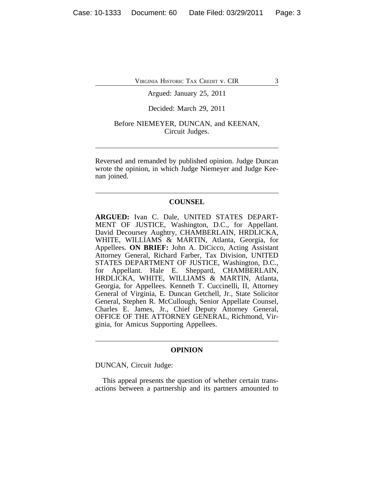Argued: January 25, 2011

## Decided: March 29, 2011

## Before NIEMEYER, DUNCAN, and KEENAN, Circuit Judges.

Reversed and remanded by published opinion. Judge Duncan wrote the opinion, in which Judge Niemeyer and Judge Keenan joined.

## **COUNSEL**

**ARGUED:** Ivan C. Dale, UNITED STATES DEPART-MENT OF JUSTICE, Washington, D.C., for Appellant. David Decoursey Aughtry, CHAMBERLAIN, HRDLICKA, WHITE, WILLIAMS & MARTIN, Atlanta, Georgia, for Appellees. **ON BRIEF:** John A. DiCicco, Acting Assistant Attorney General, Richard Farber, Tax Division, UNITED STATES DEPARTMENT OF JUSTICE, Washington, D.C., for Appellant. Hale E. Sheppard, CHAMBERLAIN, HRDLICKA, WHITE, WILLIAMS & MARTIN, Atlanta, Georgia, for Appellees. Kenneth T. Cuccinelli, II, Attorney General of Virginia, E. Duncan Getchell, Jr., State Solicitor General, Stephen R. McCullough, Senior Appellate Counsel, Charles E. James, Jr., Chief Deputy Attorney General, OFFICE OF THE ATTORNEY GENERAL, Richmond, Virginia, for Amicus Supporting Appellees.

#### **OPINION**

DUNCAN, Circuit Judge:

This appeal presents the question of whether certain transactions between a partnership and its partners amounted to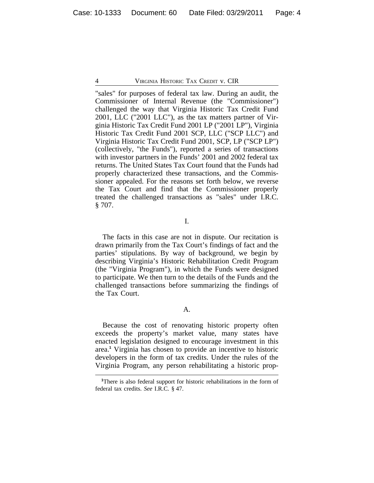"sales" for purposes of federal tax law. During an audit, the Commissioner of Internal Revenue (the "Commissioner") challenged the way that Virginia Historic Tax Credit Fund 2001, LLC ("2001 LLC"), as the tax matters partner of Virginia Historic Tax Credit Fund 2001 LP ("2001 LP"), Virginia Historic Tax Credit Fund 2001 SCP, LLC ("SCP LLC") and Virginia Historic Tax Credit Fund 2001, SCP, LP ("SCP LP") (collectively, "the Funds"), reported a series of transactions with investor partners in the Funds' 2001 and 2002 federal tax returns. The United States Tax Court found that the Funds had properly characterized these transactions, and the Commissioner appealed. For the reasons set forth below, we reverse the Tax Court and find that the Commissioner properly treated the challenged transactions as "sales" under I.R.C. § 707.

I.

The facts in this case are not in dispute. Our recitation is drawn primarily from the Tax Court's findings of fact and the parties' stipulations. By way of background, we begin by describing Virginia's Historic Rehabilitation Credit Program (the "Virginia Program"), in which the Funds were designed to participate. We then turn to the details of the Funds and the challenged transactions before summarizing the findings of the Tax Court.

Because the cost of renovating historic property often exceeds the property's market value, many states have enacted legislation designed to encourage investment in this area.**<sup>1</sup>** Virginia has chosen to provide an incentive to historic developers in the form of tax credits. Under the rules of the Virginia Program, any person rehabilitating a historic prop-

**<sup>1</sup>**There is also federal support for historic rehabilitations in the form of federal tax credits. *See* I.R.C. § 47.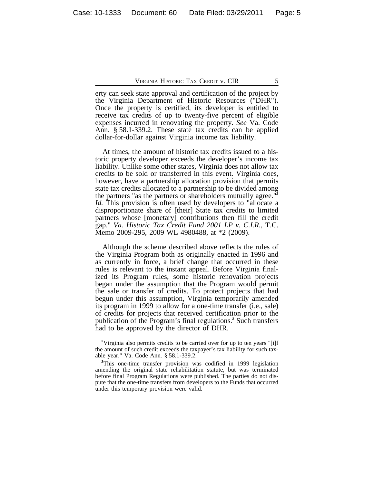erty can seek state approval and certification of the project by the Virginia Department of Historic Resources ("DHR"). Once the property is certified, its developer is entitled to receive tax credits of up to twenty-five percent of eligible expenses incurred in renovating the property. *See* Va. Code Ann. § 58.1-339.2. These state tax credits can be applied dollar-for-dollar against Virginia income tax liability.

At times, the amount of historic tax credits issued to a historic property developer exceeds the developer's income tax liability. Unlike some other states, Virginia does not allow tax credits to be sold or transferred in this event. Virginia does, however, have a partnership allocation provision that permits state tax credits allocated to a partnership to be divided among the partners "as the partners or shareholders mutually agree."**<sup>2</sup>** *Id.* This provision is often used by developers to "allocate a disproportionate share of [their] State tax credits to limited partners whose [monetary] contributions then fill the credit gap." *Va. Historic Tax Credit Fund 2001 LP v. C.I.R.*, T.C. Memo 2009-295, 2009 WL 4980488, at \*2 (2009).

Although the scheme described above reflects the rules of the Virginia Program both as originally enacted in 1996 and as currently in force, a brief change that occurred in these rules is relevant to the instant appeal. Before Virginia finalized its Program rules, some historic renovation projects began under the assumption that the Program would permit the sale or transfer of credits. To protect projects that had begun under this assumption, Virginia temporarily amended its program in 1999 to allow for a one-time transfer (i.e., sale) of credits for projects that received certification prior to the publication of the Program's final regulations.**<sup>3</sup>** Such transfers had to be approved by the director of DHR.

<sup>&</sup>lt;sup>2</sup>Virginia also permits credits to be carried over for up to ten years "[i]f the amount of such credit exceeds the taxpayer's tax liability for such taxable year." Va. Code Ann. § 58.1-339.2.

**<sup>3</sup>**This one-time transfer provision was codified in 1999 legislation amending the original state rehabilitation statute, but was terminated before final Program Regulations were published. The parties do not dispute that the one-time transfers from developers to the Funds that occurred under this temporary provision were valid.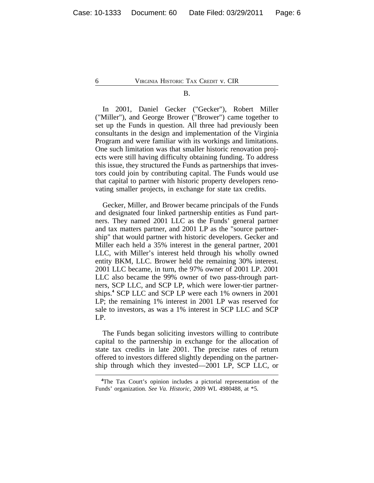#### B.

In 2001, Daniel Gecker ("Gecker"), Robert Miller ("Miller"), and George Brower ("Brower") came together to set up the Funds in question. All three had previously been consultants in the design and implementation of the Virginia Program and were familiar with its workings and limitations. One such limitation was that smaller historic renovation projects were still having difficulty obtaining funding. To address this issue, they structured the Funds as partnerships that investors could join by contributing capital. The Funds would use that capital to partner with historic property developers renovating smaller projects, in exchange for state tax credits.

Gecker, Miller, and Brower became principals of the Funds and designated four linked partnership entities as Fund partners. They named 2001 LLC as the Funds' general partner and tax matters partner, and 2001 LP as the "source partnership" that would partner with historic developers. Gecker and Miller each held a 35% interest in the general partner, 2001 LLC, with Miller's interest held through his wholly owned entity BKM, LLC. Brower held the remaining 30% interest. 2001 LLC became, in turn, the 97% owner of 2001 LP. 2001 LLC also became the 99% owner of two pass-through partners, SCP LLC, and SCP LP, which were lower-tier partnerships.**<sup>4</sup>** SCP LLC and SCP LP were each 1% owners in 2001 LP; the remaining 1% interest in 2001 LP was reserved for sale to investors, as was a 1% interest in SCP LLC and SCP LP.

The Funds began soliciting investors willing to contribute capital to the partnership in exchange for the allocation of state tax credits in late 2001. The precise rates of return offered to investors differed slightly depending on the partnership through which they invested—2001 LP, SCP LLC, or

**<sup>4</sup>**The Tax Court's opinion includes a pictorial representation of the Funds' organization. *See Va. Historic*, 2009 WL 4980488, at \*5.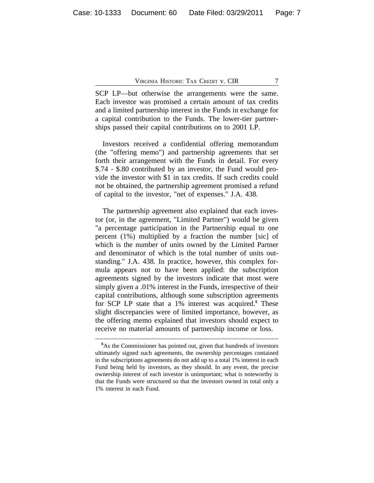SCP LP—but otherwise the arrangements were the same. Each investor was promised a certain amount of tax credits and a limited partnership interest in the Funds in exchange for a capital contribution to the Funds. The lower-tier partnerships passed their capital contributions on to 2001 LP.

Investors received a confidential offering memorandum (the "offering memo") and partnership agreements that set forth their arrangement with the Funds in detail. For every \$.74 - \$.80 contributed by an investor, the Fund would provide the investor with \$1 in tax credits. If such credits could not be obtained, the partnership agreement promised a refund of capital to the investor, "net of expenses." J.A. 438.

The partnership agreement also explained that each investor (or, in the agreement, "Limited Partner") would be given "a percentage participation in the Partnership equal to one percent (1%) multiplied by a fraction the number [sic] of which is the number of units owned by the Limited Partner and denominator of which is the total number of units outstanding." J.A. 438. In practice, however, this complex formula appears not to have been applied: the subscription agreements signed by the investors indicate that most were simply given a .01% interest in the Funds, irrespective of their capital contributions, although some subscription agreements for SCP LP state that a 1% interest was acquired.**<sup>5</sup>** These slight discrepancies were of limited importance, however, as the offering memo explained that investors should expect to receive no material amounts of partnership income or loss.

**<sup>5</sup>**As the Commissioner has pointed out, given that hundreds of investors ultimately signed such agreements, the ownership percentages contained in the subscriptions agreements do not add up to a total 1% interest in each Fund being held by investors, as they should. In any event, the precise ownership interest of each investor is unimportant; what is noteworthy is that the Funds were structured so that the investors owned in total only a 1% interest in each Fund.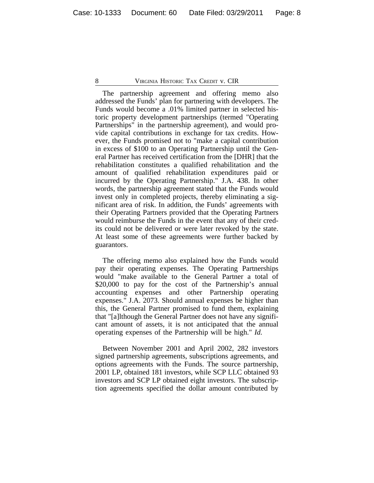The partnership agreement and offering memo also addressed the Funds' plan for partnering with developers. The Funds would become a .01% limited partner in selected historic property development partnerships (termed "Operating Partnerships" in the partnership agreement), and would provide capital contributions in exchange for tax credits. However, the Funds promised not to "make a capital contribution in excess of \$100 to an Operating Partnership until the General Partner has received certification from the [DHR] that the rehabilitation constitutes a qualified rehabilitation and the amount of qualified rehabilitation expenditures paid or incurred by the Operating Partnership." J.A. 438. In other words, the partnership agreement stated that the Funds would invest only in completed projects, thereby eliminating a significant area of risk. In addition, the Funds' agreements with their Operating Partners provided that the Operating Partners would reimburse the Funds in the event that any of their credits could not be delivered or were later revoked by the state. At least some of these agreements were further backed by guarantors.

The offering memo also explained how the Funds would pay their operating expenses. The Operating Partnerships would "make available to the General Partner a total of \$20,000 to pay for the cost of the Partnership's annual accounting expenses and other Partnership operating expenses." J.A. 2073. Should annual expenses be higher than this, the General Partner promised to fund them, explaining that "[a]lthough the General Partner does not have any significant amount of assets, it is not anticipated that the annual operating expenses of the Partnership will be high." *Id.*

Between November 2001 and April 2002, 282 investors signed partnership agreements, subscriptions agreements, and options agreements with the Funds. The source partnership, 2001 LP, obtained 181 investors, while SCP LLC obtained 93 investors and SCP LP obtained eight investors. The subscription agreements specified the dollar amount contributed by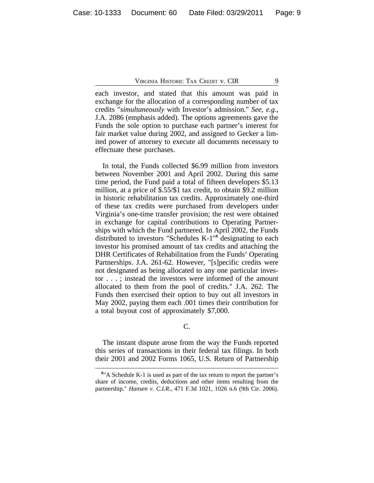each investor, and stated that this amount was paid in exchange for the allocation of a corresponding number of tax credits "*simultaneously* with Investor's admission." *See, e.g.*, J.A. 2086 (emphasis added). The options agreements gave the Funds the sole option to purchase each partner's interest for fair market value during 2002, and assigned to Gecker a limited power of attorney to execute all documents necessary to effectuate these purchases.

In total, the Funds collected \$6.99 million from investors between November 2001 and April 2002. During this same time period, the Fund paid a total of fifteen developers \$5.13 million, at a price of \$.55/\$1 tax credit, to obtain \$9.2 million in historic rehabilitation tax credits. Approximately one-third of these tax credits were purchased from developers under Virginia's one-time transfer provision; the rest were obtained in exchange for capital contributions to Operating Partnerships with which the Fund partnered. In April 2002, the Funds distributed to investors "Schedules K-1"**<sup>6</sup>** designating to each investor his promised amount of tax credits and attaching the DHR Certificates of Rehabilitation from the Funds' Operating Partnerships. J.A. 261-62. However, "[s]pecific credits were not designated as being allocated to any one particular investor . . . ; instead the investors were informed of the amount allocated to them from the pool of credits." J.A. 262. The Funds then exercised their option to buy out all investors in May 2002, paying them each .001 times their contribution for a total buyout cost of approximately \$7,000.

## C.

The instant dispute arose from the way the Funds reported this series of transactions in their federal tax filings. In both their 2001 and 2002 Forms 1065, U.S. Return of Partnership

<sup>&</sup>lt;sup>6</sup>"A Schedule K-1 is used as part of the tax return to report the partner's share of income, credits, deductions and other items resulting from the partnership." *Hansen v. C.I.R.*, 471 F.3d 1021, 1026 n.6 (9th Cir. 2006).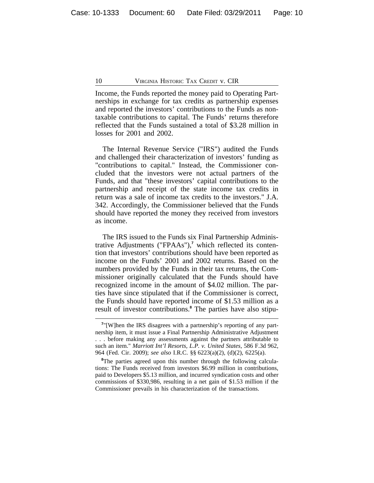Income, the Funds reported the money paid to Operating Partnerships in exchange for tax credits as partnership expenses and reported the investors' contributions to the Funds as nontaxable contributions to capital. The Funds' returns therefore reflected that the Funds sustained a total of \$3.28 million in losses for 2001 and 2002.

The Internal Revenue Service ("IRS") audited the Funds and challenged their characterization of investors' funding as "contributions to capital." Instead, the Commissioner concluded that the investors were not actual partners of the Funds, and that "these investors' capital contributions to the partnership and receipt of the state income tax credits in return was a sale of income tax credits to the investors." J.A. 342. Accordingly, the Commissioner believed that the Funds should have reported the money they received from investors as income.

The IRS issued to the Funds six Final Partnership Administrative Adjustments ("FPAAs"),**<sup>7</sup>** which reflected its contention that investors' contributions should have been reported as income on the Funds' 2001 and 2002 returns. Based on the numbers provided by the Funds in their tax returns, the Commissioner originally calculated that the Funds should have recognized income in the amount of \$4.02 million. The parties have since stipulated that if the Commissioner is correct, the Funds should have reported income of \$1.53 million as a result of investor contributions.**<sup>8</sup>** The parties have also stipu-

<sup>&</sup>lt;sup>7</sup>"[W]hen the IRS disagrees with a partnership's reporting of any partnership item, it must issue a Final Partnership Administrative Adjustment . . . before making any assessments against the partners attributable to such an item." *Marriott Int'l Resorts, L.P. v. United States*, 586 F.3d 962, 964 (Fed. Cir. 2009); *see also* I.R.C. §§ 6223(a)(2), (d)(2), 6225(a).

<sup>&</sup>lt;sup>8</sup>The parties agreed upon this number through the following calculations: The Funds received from investors \$6.99 million in contributions, paid to Developers \$5.13 million, and incurred syndication costs and other commissions of \$330,986, resulting in a net gain of \$1.53 million if the Commissioner prevails in his characterization of the transactions.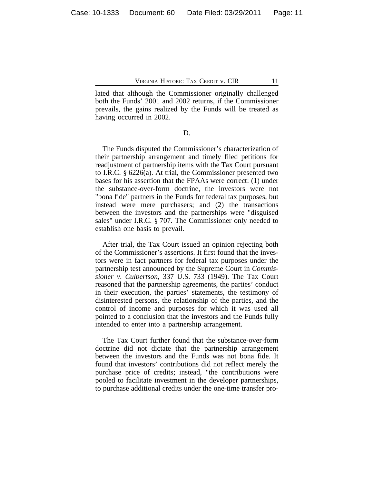lated that although the Commissioner originally challenged both the Funds' 2001 and 2002 returns, if the Commissioner prevails, the gains realized by the Funds will be treated as having occurred in 2002.

D.

The Funds disputed the Commissioner's characterization of their partnership arrangement and timely filed petitions for readjustment of partnership items with the Tax Court pursuant to I.R.C. § 6226(a). At trial, the Commissioner presented two bases for his assertion that the FPAAs were correct: (1) under the substance-over-form doctrine, the investors were not "bona fide" partners in the Funds for federal tax purposes, but instead were mere purchasers; and (2) the transactions between the investors and the partnerships were "disguised sales" under I.R.C. § 707. The Commissioner only needed to establish one basis to prevail.

After trial, the Tax Court issued an opinion rejecting both of the Commissioner's assertions. It first found that the investors were in fact partners for federal tax purposes under the partnership test announced by the Supreme Court in *Commissioner v. Culbertson*, 337 U.S. 733 (1949). The Tax Court reasoned that the partnership agreements, the parties' conduct in their execution, the parties' statements, the testimony of disinterested persons, the relationship of the parties, and the control of income and purposes for which it was used all pointed to a conclusion that the investors and the Funds fully intended to enter into a partnership arrangement.

The Tax Court further found that the substance-over-form doctrine did not dictate that the partnership arrangement between the investors and the Funds was not bona fide. It found that investors' contributions did not reflect merely the purchase price of credits; instead, "the contributions were pooled to facilitate investment in the developer partnerships, to purchase additional credits under the one-time transfer pro-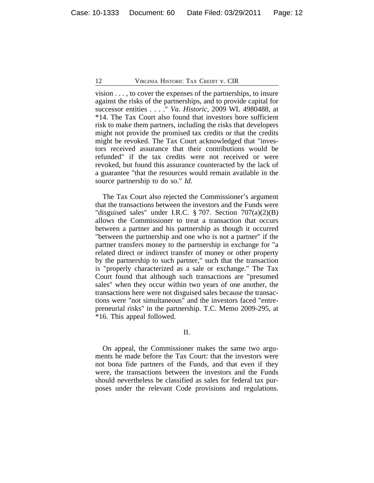vision . . . , to cover the expenses of the partnerships, to insure against the risks of the partnerships, and to provide capital for successor entities . . . ." *Va. Historic*, 2009 WL 4980488, at \*14. The Tax Court also found that investors bore sufficient risk to make them partners, including the risks that developers might not provide the promised tax credits or that the credits might be revoked. The Tax Court acknowledged that "investors received assurance that their contributions would be refunded" if the tax credits were not received or were revoked, but found this assurance counteracted by the lack of a guarantee "that the resources would remain available in the source partnership to do so." *Id.*

The Tax Court also rejected the Commissioner's argument that the transactions between the investors and the Funds were "disguised sales" under I.R.C.  $\S 707$ . Section  $707(a)(2)(B)$ allows the Commissioner to treat a transaction that occurs between a partner and his partnership as though it occurred "between the partnership and one who is not a partner" if the partner transfers money to the partnership in exchange for "a related direct or indirect transfer of money or other property by the partnership to such partner," such that the transaction is "properly characterized as a sale or exchange." The Tax Court found that although such transactions are "presumed sales" when they occur within two years of one another, the transactions here were not disguised sales because the transactions were "not simultaneous" and the investors faced "entrepreneurial risks" in the partnership. T.C. Memo 2009-295, at \*16. This appeal followed.

II.

On appeal, the Commissioner makes the same two arguments he made before the Tax Court: that the investors were not bona fide partners of the Funds, and that even if they were, the transactions between the investors and the Funds should nevertheless be classified as sales for federal tax purposes under the relevant Code provisions and regulations.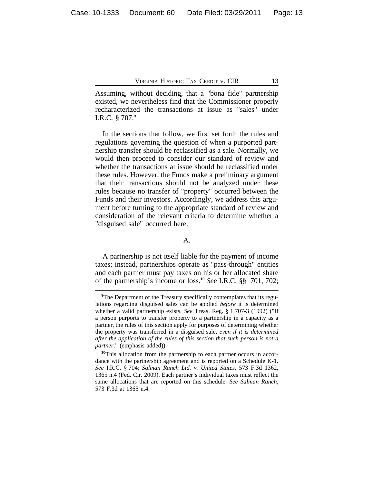Assuming, without deciding, that a "bona fide" partnership existed, we nevertheless find that the Commissioner properly recharacterized the transactions at issue as "sales" under I.R.C. § 707.**<sup>9</sup>**

In the sections that follow, we first set forth the rules and regulations governing the question of when a purported partnership transfer should be reclassified as a sale. Normally, we would then proceed to consider our standard of review and whether the transactions at issue should be reclassified under these rules. However, the Funds make a preliminary argument that their transactions should not be analyzed under these rules because no transfer of "property" occurred between the Funds and their investors. Accordingly, we address this argument before turning to the appropriate standard of review and consideration of the relevant criteria to determine whether a "disguised sale" occurred here.

A.

A partnership is not itself liable for the payment of income taxes; instead, partnerships operate as "pass-through" entities and each partner must pay taxes on his or her allocated share of the partnership's income or loss.**<sup>10</sup>** *See* I.R.C. §§ 701, 702;

<sup>&</sup>lt;sup>9</sup>The Department of the Treasury specifically contemplates that its regulations regarding disguised sales can be applied *before* it is determined whether a valid partnership exists. *See* Treas. Reg. § 1.707-3 (1992) ("If a person purports to transfer property to a partnership in a capacity as a partner, the rules of this section apply for purposes of determining whether the property was transferred in a disguised sale, *even if it is determined after the application of the rules of this section that such person is not a partner*." (emphasis added)).

**<sup>10</sup>**This allocation from the partnership to each partner occurs in accordance with the partnership agreement and is reported on a Schedule K-1. *See* I.R.C. § 704; *Salman Ranch Ltd. v. United States*, 573 F.3d 1362, 1365 n.4 (Fed. Cir. 2009). Each partner's individual taxes must reflect the same allocations that are reported on this schedule. *See Salman Ranch*, 573 F.3d at 1365 n.4.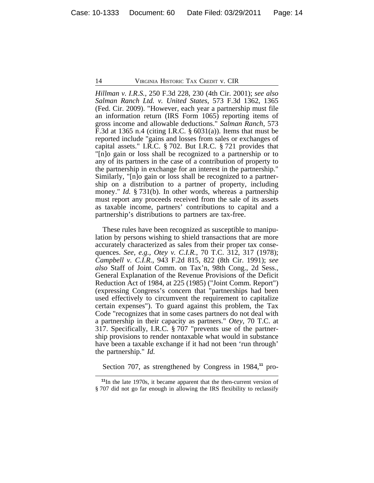*Hillman v. I.R.S.*, 250 F.3d 228, 230 (4th Cir. 2001); *see also Salman Ranch Ltd. v. United States*, 573 F.3d 1362, 1365 (Fed. Cir. 2009). "However, each year a partnership must file an information return (IRS Form 1065) reporting items of gross income and allowable deductions." *Salman Ranch*, 573 F.3d at 1365 n.4 (citing I.R.C. § 6031(a)). Items that must be reported include "gains and losses from sales or exchanges of capital assets." I.R.C. § 702. But I.R.C. § 721 provides that "[n]o gain or loss shall be recognized to a partnership or to any of its partners in the case of a contribution of property to the partnership in exchange for an interest in the partnership." Similarly, "[n]o gain or loss shall be recognized to a partnership on a distribution to a partner of property, including money." *Id.* § 731(b). In other words, whereas a partnership must report any proceeds received from the sale of its assets as taxable income, partners' contributions to capital and a partnership's distributions to partners are tax-free.

These rules have been recognized as susceptible to manipulation by persons wishing to shield transactions that are more accurately characterized as sales from their proper tax consequences. *See, e.g.*, *Otey v. C.I.R.*, 70 T.C. 312, 317 (1978); *Campbell v. C.I.R.*, 943 F.2d 815, 822 (8th Cir. 1991); *see also* Staff of Joint Comm. on Tax'n, 98th Cong., 2d Sess., General Explanation of the Revenue Provisions of the Deficit Reduction Act of 1984, at 225 (1985) ("Joint Comm. Report") (expressing Congress's concern that "partnerships had been used effectively to circumvent the requirement to capitalize certain expenses"). To guard against this problem, the Tax Code "recognizes that in some cases partners do not deal with a partnership in their capacity as partners." *Otey*, 70 T.C. at 317. Specifically, I.R.C. § 707 "prevents use of the partnership provisions to render nontaxable what would in substance have been a taxable exchange if it had not been 'run through' the partnership." *Id.*

Section 707, as strengthened by Congress in 1984,**11** pro-

**<sup>11</sup>**In the late 1970s, it became apparent that the then-current version of § 707 did not go far enough in allowing the IRS flexibility to reclassify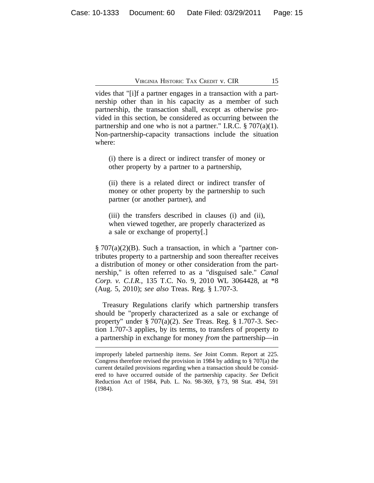vides that "[i]f a partner engages in a transaction with a partnership other than in his capacity as a member of such partnership, the transaction shall, except as otherwise provided in this section, be considered as occurring between the partnership and one who is not a partner." I.R.C.  $\S 707(a)(1)$ . Non-partnership-capacity transactions include the situation where:

(i) there is a direct or indirect transfer of money or other property by a partner to a partnership,

(ii) there is a related direct or indirect transfer of money or other property by the partnership to such partner (or another partner), and

(iii) the transfers described in clauses (i) and (ii), when viewed together, are properly characterized as a sale or exchange of property[.]

§ 707(a)(2)(B). Such a transaction, in which a "partner contributes property to a partnership and soon thereafter receives a distribution of money or other consideration from the partnership," is often referred to as a "disguised sale." *Canal Corp. v. C.I.R.*, 135 T.C. No. 9, 2010 WL 3064428, at \*8 (Aug. 5, 2010); *see also* Treas. Reg. § 1.707-3.

Treasury Regulations clarify which partnership transfers should be "properly characterized as a sale or exchange of property" under § 707(a)(2). *See* Treas. Reg. § 1.707-3. Section 1.707-3 applies, by its terms, to transfers of property *to* a partnership in exchange for money *from* the partnership—in

improperly labeled partnership items. *See* Joint Comm. Report at 225. Congress therefore revised the provision in 1984 by adding to § 707(a) the current detailed provisions regarding when a transaction should be considered to have occurred outside of the partnership capacity. *See* Deficit Reduction Act of 1984, Pub. L. No. 98-369, § 73, 98 Stat. 494, 591 (1984).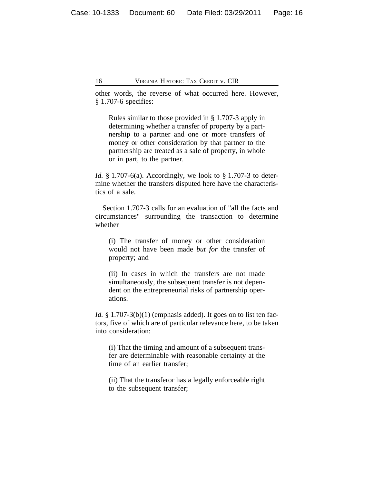other words, the reverse of what occurred here. However, § 1.707-6 specifies:

Rules similar to those provided in § 1.707-3 apply in determining whether a transfer of property by a partnership to a partner and one or more transfers of money or other consideration by that partner to the partnership are treated as a sale of property, in whole or in part, to the partner.

*Id.* § 1.707-6(a). Accordingly, we look to § 1.707-3 to determine whether the transfers disputed here have the characteristics of a sale.

Section 1.707-3 calls for an evaluation of "all the facts and circumstances" surrounding the transaction to determine whether

(i) The transfer of money or other consideration would not have been made *but for* the transfer of property; and

(ii) In cases in which the transfers are not made simultaneously, the subsequent transfer is not dependent on the entrepreneurial risks of partnership operations.

*Id.* § 1.707-3(b)(1) (emphasis added). It goes on to list ten factors, five of which are of particular relevance here, to be taken into consideration:

(i) That the timing and amount of a subsequent transfer are determinable with reasonable certainty at the time of an earlier transfer;

(ii) That the transferor has a legally enforceable right to the subsequent transfer;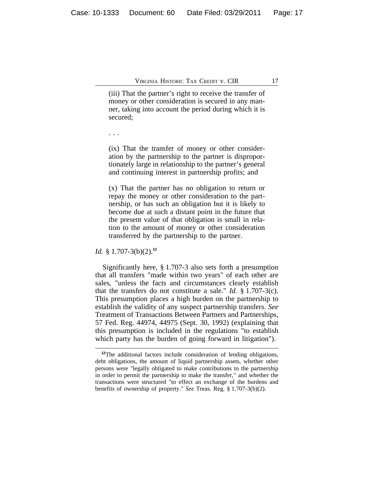(iii) That the partner's right to receive the transfer of money or other consideration is secured in any manner, taking into account the period during which it is secured;

. . .

(ix) That the transfer of money or other consideration by the partnership to the partner is disproportionately large in relationship to the partner's general and continuing interest in partnership profits; and

(x) That the partner has no obligation to return or repay the money or other consideration to the partnership, or has such an obligation but it is likely to become due at such a distant point in the future that the present value of that obligation is small in relation to the amount of money or other consideration transferred by the partnership to the partner.

*Id.* § 1.707-3(b)(2).**<sup>12</sup>**

Significantly here, § 1.707-3 also sets forth a presumption that all transfers "made within two years" of each other are sales, "unless the facts and circumstances clearly establish that the transfers do not constitute a sale." *Id.* § 1.707-3(c). This presumption places a high burden on the partnership to establish the validity of any suspect partnership transfers. *See* Treatment of Transactions Between Partners and Partnerships, 57 Fed. Reg. 44974, 44975 (Sept. 30, 1992) (explaining that this presumption is included in the regulations "to establish which party has the burden of going forward in litigation").

**<sup>12</sup>**The additional factors include consideration of lending obligations, debt obligations, the amount of liquid partnership assets, whether other persons were "legally obligated to make contributions to the partnership in order to permit the partnership to make the transfer," and whether the transactions were structured "to effect an exchange of the burdens and benefits of ownership of property." *See* Treas. Reg. § 1.707-3(b)(2).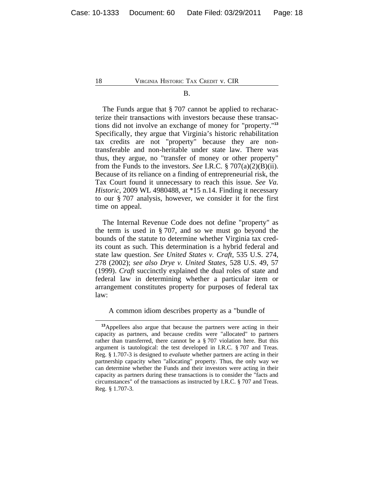#### B.

The Funds argue that § 707 cannot be applied to recharacterize their transactions with investors because these transactions did not involve an exchange of money for "property."**<sup>13</sup>** Specifically, they argue that Virginia's historic rehabilitation tax credits are not "property" because they are nontransferable and non-heritable under state law. There was thus, they argue, no "transfer of money or other property" from the Funds to the investors. *See* I.R.C. § 707(a)(2)(B)(ii). Because of its reliance on a finding of entrepreneurial risk, the Tax Court found it unnecessary to reach this issue. *See Va. Historic*, 2009 WL 4980488, at \*15 n.14. Finding it necessary to our § 707 analysis, however, we consider it for the first time on appeal.

The Internal Revenue Code does not define "property" as the term is used in § 707, and so we must go beyond the bounds of the statute to determine whether Virginia tax credits count as such. This determination is a hybrid federal and state law question. *See United States v. Craft*, 535 U.S. 274, 278 (2002); *see also Drye v. United States*, 528 U.S. 49, 57 (1999). *Craft* succinctly explained the dual roles of state and federal law in determining whether a particular item or arrangement constitutes property for purposes of federal tax law:

A common idiom describes property as a "bundle of

**<sup>13</sup>**Appellees also argue that because the partners were acting in their capacity as partners, and because credits were "allocated" to partners rather than transferred, there cannot be a § 707 violation here. But this argument is tautological: the test developed in I.R.C. § 707 and Treas. Reg. § 1.707-3 is designed to *evaluate* whether partners are acting in their partnership capacity when "allocating" property. Thus, the only way we can determine whether the Funds and their investors were acting in their capacity as partners during these transactions is to consider the "facts and circumstances" of the transactions as instructed by I.R.C. § 707 and Treas. Reg. § 1.707-3.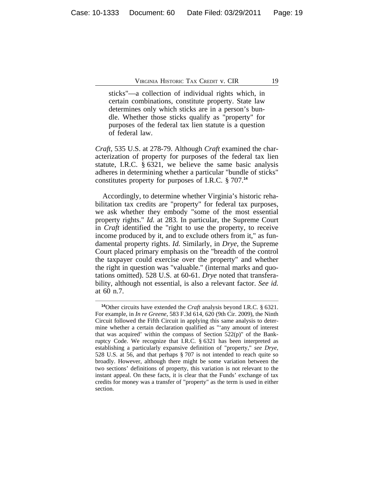sticks"—a collection of individual rights which, in certain combinations, constitute property. State law determines only which sticks are in a person's bundle. Whether those sticks qualify as "property" for purposes of the federal tax lien statute is a question of federal law.

*Craft*, 535 U.S. at 278-79. Although *Craft* examined the characterization of property for purposes of the federal tax lien statute, I.R.C. § 6321, we believe the same basic analysis adheres in determining whether a particular "bundle of sticks" constitutes property for purposes of I.R.C. § 707.**<sup>14</sup>**

Accordingly, to determine whether Virginia's historic rehabilitation tax credits are "property" for federal tax purposes, we ask whether they embody "some of the most essential property rights." *Id.* at 283. In particular, the Supreme Court in *Craft* identified the "right to use the property, to receive income produced by it, and to exclude others from it," as fundamental property rights. *Id.* Similarly, in *Drye*, the Supreme Court placed primary emphasis on the "breadth of the control the taxpayer could exercise over the property" and whether the right in question was "valuable." (internal marks and quotations omitted). 528 U.S. at 60-61. *Drye* noted that transferability, although not essential, is also a relevant factor. *See id.* at 60 n.7.

**<sup>14</sup>**Other circuits have extended the *Craft* analysis beyond I.R.C. § 6321. For example, in *In re Greene*, 583 F.3d 614, 620 (9th Cir. 2009), the Ninth Circuit followed the Fifth Circuit in applying this same analysis to determine whether a certain declaration qualified as "'any amount of interest that was acquired' within the compass of Section  $522(p)$ " of the Bankruptcy Code. We recognize that I.R.C. § 6321 has been interpreted as establishing a particularly expansive definition of "property," *see Drye*, 528 U.S. at 56, and that perhaps § 707 is not intended to reach quite so broadly. However, although there might be some variation between the two sections' definitions of property, this variation is not relevant to the instant appeal. On these facts, it is clear that the Funds' exchange of tax credits for money was a transfer of "property" as the term is used in either section.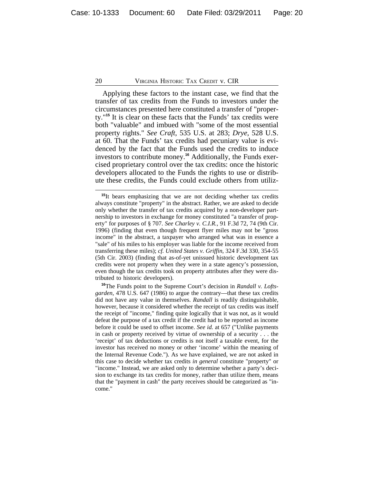Applying these factors to the instant case, we find that the transfer of tax credits from the Funds to investors under the circumstances presented here constituted a transfer of "property."**<sup>15</sup>** It is clear on these facts that the Funds' tax credits were both "valuable" and imbued with "some of the most essential property rights." *See Craft*, 535 U.S. at 283; *Drye*, 528 U.S. at 60. That the Funds' tax credits had pecuniary value is evidenced by the fact that the Funds used the credits to induce investors to contribute money.**16** Additionally, the Funds exercised proprietary control over the tax credits: once the historic developers allocated to the Funds the rights to use or distribute these credits, the Funds could exclude others from utiliz-

<sup>&</sup>lt;sup>15</sup>It bears emphasizing that we are not deciding whether tax credits always constitute "property" in the abstract. Rather, we are asked to decide only whether the transfer of tax credits acquired by a non-developer partnership to investors in exchange for money constituted "a transfer of property" for purposes of § 707. *See Charley v. C.I.R.*, 91 F.3d 72, 74 (9th Cir. 1996) (finding that even though frequent flyer miles may not be "gross income" in the abstract, a taxpayer who arranged what was in essence a "sale" of his miles to his employer was liable for the income received from transferring these miles); *cf. United States v. Griffin*, 324 F.3d 330, 354-55 (5th Cir. 2003) (finding that as-of-yet unissued historic development tax credits were not property when they were in a state agency's possession, even though the tax credits took on property attributes after they were distributed to historic developers).

**<sup>16</sup>**The Funds point to the Supreme Court's decision in *Randall v. Loftsgarden*, 478 U.S. 647 (1986) to argue the contrary—that these tax credits did not have any value in themselves. *Randall* is readily distinguishable, however, because it considered whether the receipt of tax credits was itself the receipt of "income," finding quite logically that it was not, as it would defeat the purpose of a tax credit if the credit had to be reported as income before it could be used to offset income. *See id.* at 657 ("Unlike payments in cash or property received by virtue of ownership of a security . . . the 'receipt' of tax deductions or credits is not itself a taxable event, for the investor has received no money or other 'income' within the meaning of the Internal Revenue Code."). As we have explained, we are not asked in this case to decide whether tax credits *in general* constitute "property" or "income." Instead, we are asked only to determine whether a party's decision to exchange its tax credits for money, rather than utilize them, means that the "payment in cash" the party receives should be categorized as "income."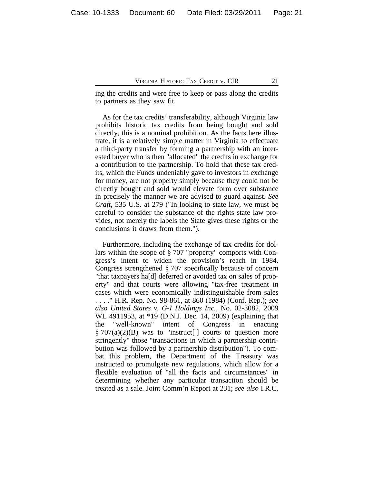ing the credits and were free to keep or pass along the credits to partners as they saw fit.

As for the tax credits' transferability, although Virginia law prohibits historic tax credits from being bought and sold directly, this is a nominal prohibition. As the facts here illustrate, it is a relatively simple matter in Virginia to effectuate a third-party transfer by forming a partnership with an interested buyer who is then "allocated" the credits in exchange for a contribution to the partnership. To hold that these tax credits, which the Funds undeniably gave to investors in exchange for money, are not property simply because they could not be directly bought and sold would elevate form over substance in precisely the manner we are advised to guard against. *See Craft*, 535 U.S. at 279 ("In looking to state law, we must be careful to consider the substance of the rights state law provides, not merely the labels the State gives these rights or the conclusions it draws from them.").

Furthermore, including the exchange of tax credits for dollars within the scope of § 707 "property" comports with Congress's intent to widen the provision's reach in 1984. Congress strengthened § 707 specifically because of concern "that taxpayers ha[d] deferred or avoided tax on sales of property" and that courts were allowing "tax-free treatment in cases which were economically indistinguishable from sales . . . ." H.R. Rep. No. 98-861, at 860 (1984) (Conf. Rep.); *see also United States v. G-I Holdings Inc.*, No. 02-3082, 2009 WL 4911953, at \*19 (D.N.J. Dec. 14, 2009) (explaining that the "well-known" intent of Congress in enacting  $\S 707(a)(2)(B)$  was to "instruct | courts to question more stringently" those "transactions in which a partnership contribution was followed by a partnership distribution"). To combat this problem, the Department of the Treasury was instructed to promulgate new regulations, which allow for a flexible evaluation of "all the facts and circumstances" in determining whether any particular transaction should be treated as a sale. Joint Comm'n Report at 231; *see also* I.R.C.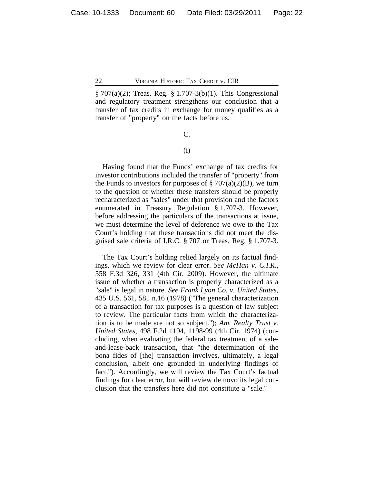§ 707(a)(2); Treas. Reg. § 1.707-3(b)(1). This Congressional and regulatory treatment strengthens our conclusion that a transfer of tax credits in exchange for money qualifies as a transfer of "property" on the facts before us.

C.

## (i)

Having found that the Funds' exchange of tax credits for investor contributions included the transfer of "property" from the Funds to investors for purposes of  $\S 707(a)(2)(B)$ , we turn to the question of whether these transfers should be properly recharacterized as "sales" under that provision and the factors enumerated in Treasury Regulation § 1.707-3. However, before addressing the particulars of the transactions at issue, we must determine the level of deference we owe to the Tax Court's holding that these transactions did not meet the disguised sale criteria of I.R.C. § 707 or Treas. Reg. § 1.707-3.

The Tax Court's holding relied largely on its factual findings, which we review for clear error. *See McHan v. C.I.R.*, 558 F.3d 326, 331 (4th Cir. 2009). However, the ultimate issue of whether a transaction is properly characterized as a "sale" is legal in nature. *See Frank Lyon Co. v. United States*, 435 U.S. 561, 581 n.16 (1978) ("The general characterization of a transaction for tax purposes is a question of law subject to review. The particular facts from which the characterization is to be made are not so subject."); *Am. Realty Trust v. United States*, 498 F.2d 1194, 1198-99 (4th Cir. 1974) (concluding, when evaluating the federal tax treatment of a saleand-lease-back transaction, that "the determination of the bona fides of [the] transaction involves, ultimately, a legal conclusion, albeit one grounded in underlying findings of fact."). Accordingly, we will review the Tax Court's factual findings for clear error, but will review de novo its legal conclusion that the transfers here did not constitute a "sale."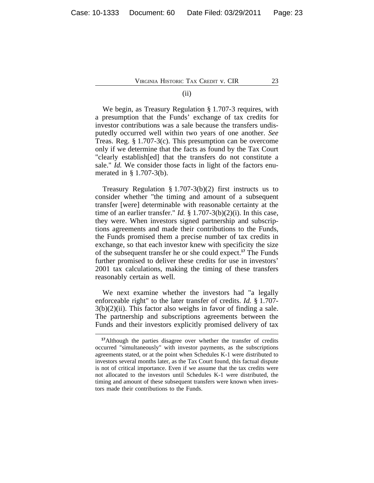## (ii)

We begin, as Treasury Regulation § 1.707-3 requires, with a presumption that the Funds' exchange of tax credits for investor contributions was a sale because the transfers undisputedly occurred well within two years of one another. *See* Treas. Reg. § 1.707-3(c). This presumption can be overcome only if we determine that the facts as found by the Tax Court "clearly establish[ed] that the transfers do not constitute a sale." *Id.* We consider those facts in light of the factors enumerated in § 1.707-3(b).

Treasury Regulation § 1.707-3(b)(2) first instructs us to consider whether "the timing and amount of a subsequent transfer [were] determinable with reasonable certainty at the time of an earlier transfer." *Id.* § 1.707-3(b)(2)(i). In this case, they were. When investors signed partnership and subscriptions agreements and made their contributions to the Funds, the Funds promised them a precise number of tax credits in exchange, so that each investor knew with specificity the size of the subsequent transfer he or she could expect.**<sup>17</sup>** The Funds further promised to deliver these credits for use in investors' 2001 tax calculations, making the timing of these transfers reasonably certain as well.

We next examine whether the investors had "a legally enforceable right" to the later transfer of credits. *Id.* § 1.707-  $3(b)(2)(ii)$ . This factor also weighs in favor of finding a sale. The partnership and subscriptions agreements between the Funds and their investors explicitly promised delivery of tax

**<sup>17</sup>**Although the parties disagree over whether the transfer of credits occurred "simultaneously" with investor payments, as the subscriptions agreements stated, or at the point when Schedules K-1 were distributed to investors several months later, as the Tax Court found, this factual dispute is not of critical importance. Even if we assume that the tax credits were not allocated to the investors until Schedules K-1 were distributed, the timing and amount of these subsequent transfers were known when investors made their contributions to the Funds.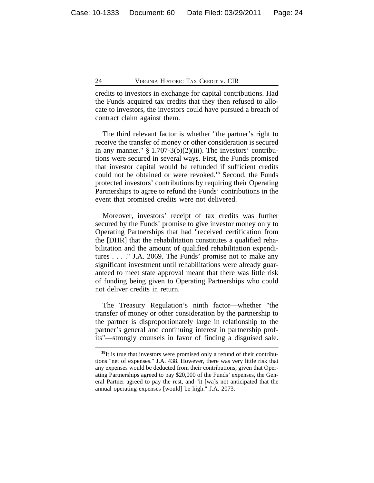credits to investors in exchange for capital contributions. Had the Funds acquired tax credits that they then refused to allocate to investors, the investors could have pursued a breach of contract claim against them.

The third relevant factor is whether "the partner's right to receive the transfer of money or other consideration is secured in any manner."  $\S 1.707-3(b)(2)(iii)$ . The investors' contributions were secured in several ways. First, the Funds promised that investor capital would be refunded if sufficient credits could not be obtained or were revoked.**<sup>18</sup>** Second, the Funds protected investors' contributions by requiring their Operating Partnerships to agree to refund the Funds' contributions in the event that promised credits were not delivered.

Moreover, investors' receipt of tax credits was further secured by the Funds' promise to give investor money only to Operating Partnerships that had "received certification from the [DHR] that the rehabilitation constitutes a qualified rehabilitation and the amount of qualified rehabilitation expenditures . . . ." J.A. 2069. The Funds' promise not to make any significant investment until rehabilitations were already guaranteed to meet state approval meant that there was little risk of funding being given to Operating Partnerships who could not deliver credits in return.

The Treasury Regulation's ninth factor—whether "the transfer of money or other consideration by the partnership to the partner is disproportionately large in relationship to the partner's general and continuing interest in partnership profits"—strongly counsels in favor of finding a disguised sale.

**<sup>18</sup>**It is true that investors were promised only a refund of their contributions "net of expenses." J.A. 438. However, there was very little risk that any expenses would be deducted from their contributions, given that Operating Partnerships agreed to pay \$20,000 of the Funds' expenses, the General Partner agreed to pay the rest, and "it [wa]s not anticipated that the annual operating expenses [would] be high." J.A. 2073.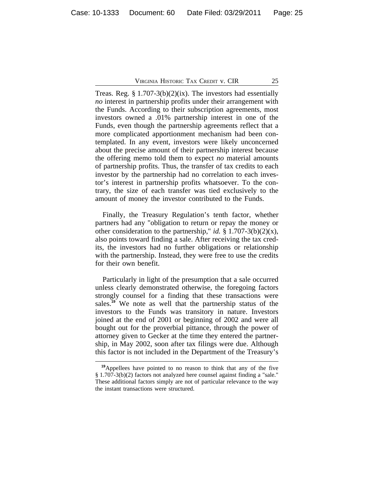Treas. Reg. § 1.707-3(b)(2)(ix). The investors had essentially *no* interest in partnership profits under their arrangement with the Funds. According to their subscription agreements, most investors owned a .01% partnership interest in one of the Funds, even though the partnership agreements reflect that a more complicated apportionment mechanism had been contemplated. In any event, investors were likely unconcerned about the precise amount of their partnership interest because the offering memo told them to expect *no* material amounts of partnership profits. Thus, the transfer of tax credits to each investor by the partnership had no correlation to each investor's interest in partnership profits whatsoever. To the contrary, the size of each transfer was tied exclusively to the amount of money the investor contributed to the Funds.

Finally, the Treasury Regulation's tenth factor, whether partners had any "obligation to return or repay the money or other consideration to the partnership," *id.* § 1.707-3(b)(2)(x), also points toward finding a sale. After receiving the tax credits, the investors had no further obligations or relationship with the partnership. Instead, they were free to use the credits for their own benefit.

Particularly in light of the presumption that a sale occurred unless clearly demonstrated otherwise, the foregoing factors strongly counsel for a finding that these transactions were sales.**<sup>19</sup>** We note as well that the partnership status of the investors to the Funds was transitory in nature. Investors joined at the end of 2001 or beginning of 2002 and were all bought out for the proverbial pittance, through the power of attorney given to Gecker at the time they entered the partnership, in May 2002, soon after tax filings were due. Although this factor is not included in the Department of the Treasury's

**<sup>19</sup>**Appellees have pointed to no reason to think that any of the five § 1.707-3(b)(2) factors not analyzed here counsel against finding a "sale." These additional factors simply are not of particular relevance to the way the instant transactions were structured.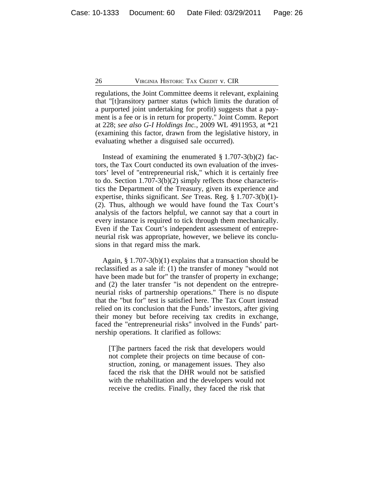regulations, the Joint Committee deems it relevant, explaining that "[t]ransitory partner status (which limits the duration of a purported joint undertaking for profit) suggests that a payment is a fee or is in return for property." Joint Comm. Report at 228; *see also G-I Holdings Inc.*, 2009 WL 4911953, at \*21 (examining this factor, drawn from the legislative history, in evaluating whether a disguised sale occurred).

Instead of examining the enumerated  $\S 1.707-3(b)(2)$  factors, the Tax Court conducted its own evaluation of the investors' level of "entrepreneurial risk," which it is certainly free to do. Section 1.707-3(b)(2) simply reflects those characteristics the Department of the Treasury, given its experience and expertise, thinks significant. *See* Treas. Reg. § 1.707-3(b)(1)- (2). Thus, although we would have found the Tax Court's analysis of the factors helpful, we cannot say that a court in every instance is required to tick through them mechanically. Even if the Tax Court's independent assessment of entrepreneurial risk was appropriate, however, we believe its conclusions in that regard miss the mark.

Again, § 1.707-3(b)(1) explains that a transaction should be reclassified as a sale if: (1) the transfer of money "would not have been made but for" the transfer of property in exchange; and (2) the later transfer "is not dependent on the entrepreneurial risks of partnership operations." There is no dispute that the "but for" test is satisfied here. The Tax Court instead relied on its conclusion that the Funds' investors, after giving their money but before receiving tax credits in exchange, faced the "entrepreneurial risks" involved in the Funds' partnership operations. It clarified as follows:

[T]he partners faced the risk that developers would not complete their projects on time because of construction, zoning, or management issues. They also faced the risk that the DHR would not be satisfied with the rehabilitation and the developers would not receive the credits. Finally, they faced the risk that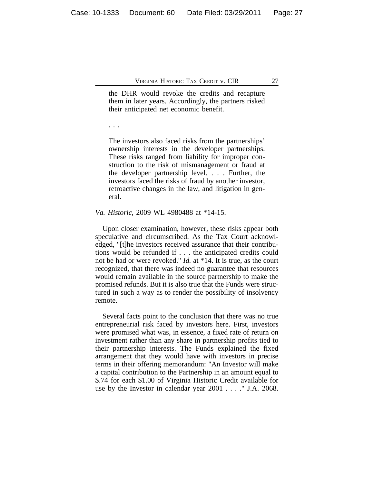the DHR would revoke the credits and recapture them in later years. Accordingly, the partners risked their anticipated net economic benefit.

. . .

The investors also faced risks from the partnerships' ownership interests in the developer partnerships. These risks ranged from liability for improper construction to the risk of mismanagement or fraud at the developer partnership level. . . . Further, the investors faced the risks of fraud by another investor, retroactive changes in the law, and litigation in general.

#### *Va. Historic*, 2009 WL 4980488 at \*14-15.

Upon closer examination, however, these risks appear both speculative and circumscribed. As the Tax Court acknowledged, "[t]he investors received assurance that their contributions would be refunded if . . . the anticipated credits could not be had or were revoked." *Id.* at \*14. It is true, as the court recognized, that there was indeed no guarantee that resources would remain available in the source partnership to make the promised refunds. But it is also true that the Funds were structured in such a way as to render the possibility of insolvency remote.

Several facts point to the conclusion that there was no true entrepreneurial risk faced by investors here. First, investors were promised what was, in essence, a fixed rate of return on investment rather than any share in partnership profits tied to their partnership interests. The Funds explained the fixed arrangement that they would have with investors in precise terms in their offering memorandum: "An Investor will make a capital contribution to the Partnership in an amount equal to \$.74 for each \$1.00 of Virginia Historic Credit available for use by the Investor in calendar year 2001 . . . ." J.A. 2068.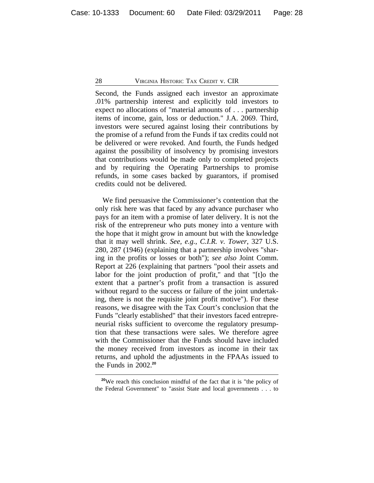Second, the Funds assigned each investor an approximate .01% partnership interest and explicitly told investors to expect no allocations of "material amounts of . . . partnership items of income, gain, loss or deduction." J.A. 2069. Third, investors were secured against losing their contributions by the promise of a refund from the Funds if tax credits could not be delivered or were revoked. And fourth, the Funds hedged against the possibility of insolvency by promising investors that contributions would be made only to completed projects and by requiring the Operating Partnerships to promise refunds, in some cases backed by guarantors, if promised credits could not be delivered.

We find persuasive the Commissioner's contention that the only risk here was that faced by any advance purchaser who pays for an item with a promise of later delivery. It is not the risk of the entrepreneur who puts money into a venture with the hope that it might grow in amount but with the knowledge that it may well shrink. *See, e.g.*, *C.I.R. v. Tower*, 327 U.S. 280, 287 (1946) (explaining that a partnership involves "sharing in the profits or losses or both"); *see also* Joint Comm. Report at 226 (explaining that partners "pool their assets and labor for the joint production of profit," and that "[t]o the extent that a partner's profit from a transaction is assured without regard to the success or failure of the joint undertaking, there is not the requisite joint profit motive"). For these reasons, we disagree with the Tax Court's conclusion that the Funds "clearly established" that their investors faced entrepreneurial risks sufficient to overcome the regulatory presumption that these transactions were sales. We therefore agree with the Commissioner that the Funds should have included the money received from investors as income in their tax returns, and uphold the adjustments in the FPAAs issued to the Funds in 2002.**<sup>20</sup>**

**<sup>20</sup>**We reach this conclusion mindful of the fact that it is "the policy of the Federal Government" to "assist State and local governments . . . to